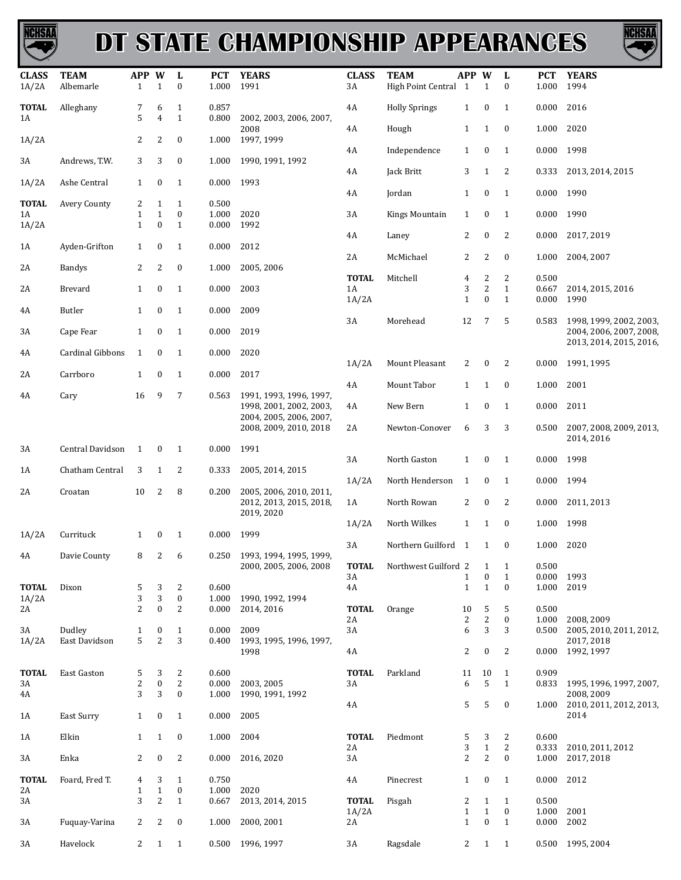

## **DT STATE CHAMPIONSHIP APPEARANCES**



| <b>CLASS</b><br>1A/2A | <b>TEAM</b><br>Albemarle | APP W<br>1        | $\mathbf{1}$          | L<br>$\bf{0}$                  | <b>PCT</b><br>1.000 | <b>YEARS</b><br>1991                                                                                    | <b>CLASS</b><br>3A    | <b>TEAM</b><br>High Point Central 1 | APP W                          | $\mathbf{1}$                     | L<br>$\boldsymbol{0}$            | <b>PCT</b><br>1.000      | <b>YEARS</b><br>1994                               |
|-----------------------|--------------------------|-------------------|-----------------------|--------------------------------|---------------------|---------------------------------------------------------------------------------------------------------|-----------------------|-------------------------------------|--------------------------------|----------------------------------|----------------------------------|--------------------------|----------------------------------------------------|
| <b>TOTAL</b><br>1A    | Alleghany                | 7<br>5            | 6<br>$\overline{4}$   | $\mathbf{1}$<br>$\mathbf{1}$   | 0.857<br>0.800      | 2002, 2003, 2006, 2007,                                                                                 | 4A                    | <b>Holly Springs</b>                | $\mathbf{1}$                   | $\bf{0}$                         | 1                                | 0.000                    | 2016                                               |
| 1A/2A                 |                          | 2                 | 2                     | $\bf{0}$                       | 1.000               | 2008<br>1997, 1999                                                                                      | 4A                    | Hough                               | $\mathbf{1}$                   | $\mathbf{1}$                     | $\boldsymbol{0}$                 | 1.000                    | 2020                                               |
| 3A                    | Andrews, T.W.            | 3                 | 3                     | $\bf{0}$                       | 1.000               | 1990, 1991, 1992                                                                                        | 4A                    | Independence                        | $\mathbf{1}$                   | $\bf{0}$                         | 1                                | 0.000 1998               |                                                    |
| 1A/2A                 | Ashe Central             | $\mathbf{1}$      | $\bf{0}$              | $\mathbf{1}$                   | 0.000               | 1993                                                                                                    | 4A                    | Jack Britt                          | 3                              | $\mathbf{1}$                     | 2                                | 0.333                    | 2013, 2014, 2015                                   |
| <b>TOTAL</b><br>1A    | Avery County             | 2<br>$\mathbf{1}$ | 1<br>$\mathbf{1}$     | $\mathbf{1}$<br>$\bf{0}$       | 0.500<br>1.000      | 2020                                                                                                    | 4A<br>3A              | Jordan<br>Kings Mountain            | $\mathbf{1}$<br>$\mathbf{1}$   | $\boldsymbol{0}$<br>$\bf{0}$     | $\mathbf{1}$<br>1                | $0.000$ 1990<br>0.000    | 1990                                               |
| 1A/2A                 |                          | $\mathbf{1}$      | $\mathbf{0}$          | $\mathbf{1}$                   | 0.000               | 1992                                                                                                    |                       |                                     |                                | $\boldsymbol{0}$                 |                                  |                          | 2017, 2019                                         |
| 1A                    | Ayden-Grifton            | $\mathbf{1}$      | $\bf{0}$              | $\mathbf{1}$                   | 0.000               | 2012                                                                                                    | 4A<br>2A              | Laney<br>McMichael                  | 2<br>2                         | 2                                | 2<br>$\bf{0}$                    | 0.000<br>1.000           | 2004, 2007                                         |
| 2A                    | <b>Bandys</b>            | $\overline{2}$    | 2                     | $\bf{0}$                       | 1.000               | 2005, 2006                                                                                              | <b>TOTAL</b>          | Mitchell                            | $\overline{4}$                 | 2                                | 2                                | 0.500                    |                                                    |
| 2A                    | Brevard                  | $\mathbf{1}$      | $\bf{0}$              | $\mathbf{1}$                   | 0.000               | 2003                                                                                                    | 1A<br>1A/2A           | 3<br>$\mathbf{1}$                   | $\overline{2}$<br>$\mathbf{0}$ | $\mathbf{1}$<br>$\mathbf{1}$     | 0.667<br>0.000                   | 2014, 2015, 2016<br>1990 |                                                    |
| 4A                    | Butler                   | $\mathbf{1}$      | $\mathbf{0}$          | 1                              | 0.000               | 2009                                                                                                    | 3A                    | Morehead                            | 12                             | 7                                | 5                                | 0.583                    | 1998, 1999, 2002, 2003,                            |
| 3A                    | Cape Fear                | $\mathbf{1}$      | $\bf{0}$              | $\mathbf{1}$                   | 0.000               | 2019                                                                                                    |                       |                                     |                                |                                  |                                  |                          | 2004, 2006, 2007, 2008,<br>2013, 2014, 2015, 2016, |
| 4A                    | Cardinal Gibbons         | $\mathbf{1}$      | $\bf{0}$              | $\mathbf{1}$                   | 0.000               | 2020                                                                                                    | 1A/2A                 | Mount Pleasant                      | 2                              | $\boldsymbol{0}$                 | 2                                | 0.000                    | 1991, 1995                                         |
| 2A                    | Carrboro                 | $\mathbf{1}$      | $\bf{0}$              | 1                              | 0.000               | 2017                                                                                                    | 4A                    | Mount Tabor                         | $\mathbf{1}$                   | $\mathbf{1}$                     | $\boldsymbol{0}$                 | 1.000                    | 2001                                               |
| 4A                    | Cary                     | 16                | 9                     | 7                              | 0.563               | 1991, 1993, 1996, 1997,<br>1998, 2001, 2002, 2003,<br>2004, 2005, 2006, 2007,<br>2008, 2009, 2010, 2018 | 4A                    | New Bern                            | $\mathbf{1}$                   | $\boldsymbol{0}$                 | $\mathbf{1}$                     | 0.000                    | 2011                                               |
|                       |                          |                   |                       |                                |                     |                                                                                                         | 2A                    | Newton-Conover                      | 6                              | 3                                | 3                                | 0.500                    | 2007, 2008, 2009, 2013,<br>2014, 2016              |
| 3A                    | Central Davidson         | 1                 | $\bf{0}$              | 1                              | 0.000               | 1991                                                                                                    | 3A                    | North Gaston                        | $\mathbf{1}$                   | $\bf{0}$                         | 1                                | 0.000                    | 1998                                               |
| 1A                    | Chatham Central          | 3                 | 1                     | 2                              | 0.333               | 2005, 2014, 2015                                                                                        | 1A/2A                 | North Henderson                     | $\mathbf{1}$                   | $\bf{0}$                         | 1                                | 0.000                    | 1994                                               |
| 2A                    | Croatan                  | 10                | 2                     | 8                              | 0.200               | 2005, 2006, 2010, 2011,<br>2012, 2013, 2015, 2018,<br>2019, 2020                                        | 1A                    | North Rowan                         | 2                              | $\boldsymbol{0}$                 | 2                                | 0.000                    | 2011, 2013                                         |
| 1A/2A                 | Currituck                | $\mathbf{1}$      | $\bf{0}$              | $\mathbf{1}$                   | 0.000               | 1999                                                                                                    | 1A/2A                 | North Wilkes                        | $\mathbf{1}$                   | 1                                | $\bf{0}$                         | 1.000                    | 1998                                               |
| 4A                    | Davie County             | 8                 | 2                     | 6                              |                     | 0.250 1993, 1994, 1995, 1999,                                                                           | $3A$                  | Northern Guilford 1                 |                                | 1                                | $\boldsymbol{0}$                 | 1.000                    | 2020                                               |
|                       |                          |                   |                       |                                |                     | 2000, 2005, 2006, 2008                                                                                  | <b>TOTAL</b><br>3A    | Northwest Guilford 2                | 1                              | $\mathbf{1}$<br>$\boldsymbol{0}$ | 1<br>$\mathbf{1}$                | 0.500<br>0.000           | 1993                                               |
| <b>TOTAL</b><br>1A/2A | Dixon                    | 5<br>3            | 3<br>3                | 2<br>$\boldsymbol{0}$          | 0.600<br>1.000      | 1990, 1992, 1994                                                                                        | 4A                    |                                     | $\mathbf{1}$                   | $\mathbf{1}$                     | $\boldsymbol{0}$                 | 1.000                    | 2019                                               |
| 2A                    |                          | $\overline{2}$    | $\boldsymbol{0}$      | $\overline{2}$                 | 0.000               | 2014, 2016                                                                                              | <b>TOTAL</b><br>2A    | Orange                              | 10<br>2                        | 5<br>$\overline{c}$              | 5<br>$\boldsymbol{0}$            | 0.500<br>1.000           | 2008, 2009                                         |
| 3A<br>1A/2A           | Dudley<br>East Davidson  | 1<br>5            | $\bf{0}$<br>2         | 1<br>3                         | 0.000<br>0.400      | 2009<br>1993, 1995, 1996, 1997,                                                                         | $3A$                  |                                     | 6                              | $\sqrt{3}$                       | 3                                | 0.500                    | 2005, 2010, 2011, 2012,<br>2017, 2018              |
|                       |                          |                   |                       |                                |                     | 1998                                                                                                    | $4\mathrm{A}$         |                                     | 2                              | $\boldsymbol{0}$                 | $\overline{c}$                   | 0.000                    | 1992, 1997                                         |
| <b>TOTAL</b><br>3A    | East Gaston              | 5<br>$\sqrt{2}$   | 3<br>$\boldsymbol{0}$ | $\mathbf{2}$<br>$\overline{c}$ | 0.600<br>0.000      | 2003, 2005                                                                                              | <b>TOTAL</b><br>3A    | Parkland                            | 11<br>6                        | 10<br>5                          | 1<br>$\mathbf{1}$                | 0.909<br>0.833           | 1995, 1996, 1997, 2007,                            |
| 4A                    |                          | 3                 | 3                     | $\bf{0}$                       | 1.000               | 1990, 1991, 1992                                                                                        | 4A                    |                                     | 5                              | 5                                | $\boldsymbol{0}$                 | 1.000                    | 2008, 2009<br>2010, 2011, 2012, 2013,              |
| 1A                    | East Surry               | $\mathbf{1}$      | $\bf{0}$              | $\mathbf{1}$                   | 0.000               | 2005                                                                                                    |                       |                                     |                                |                                  |                                  |                          | 2014                                               |
| 1A                    | Elkin                    | $\mathbf{1}$      | $\mathbf{1}$          | $\boldsymbol{0}$               | 1.000               | 2004                                                                                                    | <b>TOTAL</b><br>2A    | Piedmont                            | 5<br>3                         | 3<br>$\mathbf 1$                 | 2<br>$\sqrt{2}$                  | 0.600<br>0.333           | 2010, 2011, 2012                                   |
| 3A                    | Enka                     | 2                 | $\bf{0}$              | 2                              | 0.000               | 2016, 2020                                                                                              | 3A                    |                                     | $\overline{2}$                 | $\overline{2}$                   | $\boldsymbol{0}$                 | 1.000                    | 2017, 2018                                         |
| <b>TOTAL</b><br>2A    | Foard, Fred T.           | 4<br>$\mathbf{1}$ | 3<br>$1\,$            | $\mathbf{1}$<br>$\bf{0}$       | 0.750<br>1.000      | 2020                                                                                                    | 4A                    | Pinecrest                           | $\mathbf{1}$                   | $\boldsymbol{0}$                 | $\mathbf{1}$                     | 0.000                    | 2012                                               |
| 3A                    |                          | 3                 | $\overline{2}$        | $\mathbf{1}$                   | 0.667               | 2013, 2014, 2015                                                                                        | <b>TOTAL</b><br>1A/2A | Pisgah                              | 2<br>$\mathbf{1}$              | $\mathbf{1}$<br>$\mathbf{1}$     | $\mathbf{1}$<br>$\boldsymbol{0}$ | 0.500<br>1.000           | 2001                                               |
| 3A                    | Fuquay-Varina            | 2                 | 2                     | $\bf{0}$                       | 1.000               | 2000, 2001                                                                                              | 2A                    |                                     | $\mathbf{1}$                   | $\boldsymbol{0}$                 | 1                                | 0.000                    | 2002                                               |
| 3A                    | Havelock                 | $\overline{2}$    | $\mathbf{1}$          | $\mathbf{1}$                   | 0.500               | 1996, 1997                                                                                              | 3A                    | Ragsdale                            | 2                              | $\mathbf{1}$                     | 1                                |                          | 0.500 1995, 2004                                   |